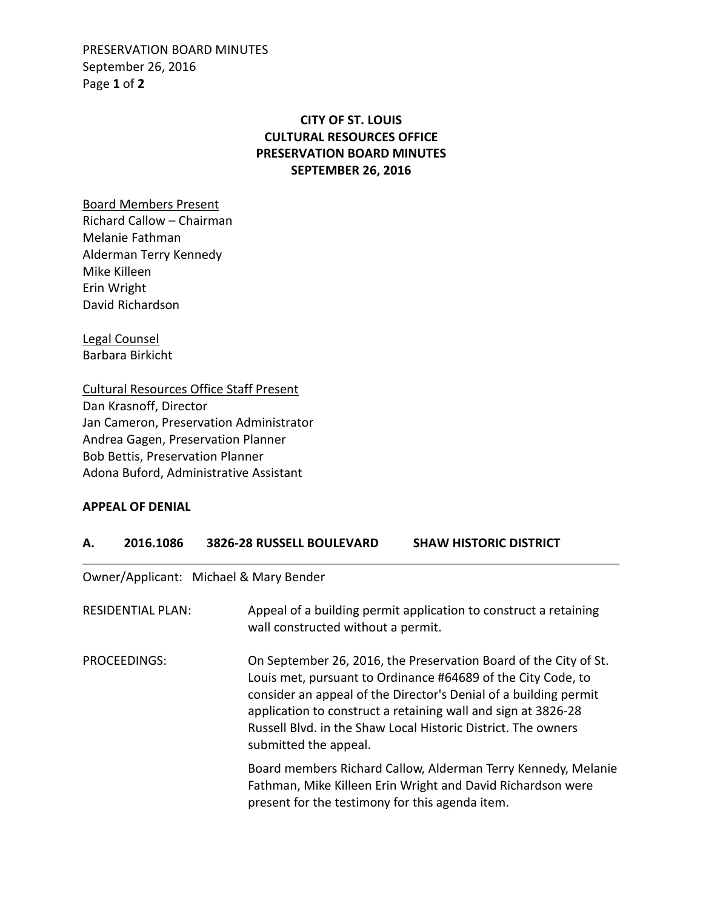PRESERVATION BOARD MINUTES September 26, 2016 Page **1** of **2**

## **CITY OF ST. LOUIS CULTURAL RESOURCES OFFICE PRESERVATION BOARD MINUTES SEPTEMBER 26, 2016**

Board Members Present

Richard Callow – Chairman Melanie Fathman Alderman Terry Kennedy Mike Killeen Erin Wright David Richardson

Legal Counsel Barbara Birkicht

Cultural Resources Office Staff Present Dan Krasnoff, Director Jan Cameron, Preservation Administrator Andrea Gagen, Preservation Planner Bob Bettis, Preservation Planner Adona Buford, Administrative Assistant

## **APPEAL OF DENIAL**

| 2016.1086 | <b>3826-28 RUSSELL BOULEVARD</b> | <b>SHAW HISTORIC DISTRICT</b> |
|-----------|----------------------------------|-------------------------------|
|           |                                  |                               |

Owner/Applicant: Michael & Mary Bender

| <b>RESIDENTIAL PLAN:</b> | Appeal of a building permit application to construct a retaining<br>wall constructed without a permit.                                                                                                                                                                                                                                                          |
|--------------------------|-----------------------------------------------------------------------------------------------------------------------------------------------------------------------------------------------------------------------------------------------------------------------------------------------------------------------------------------------------------------|
| PROCEEDINGS:             | On September 26, 2016, the Preservation Board of the City of St.<br>Louis met, pursuant to Ordinance #64689 of the City Code, to<br>consider an appeal of the Director's Denial of a building permit<br>application to construct a retaining wall and sign at 3826-28<br>Russell Blvd. in the Shaw Local Historic District. The owners<br>submitted the appeal. |
|                          | Board members Richard Callow, Alderman Terry Kennedy, Melanie<br>Fathman, Mike Killeen Erin Wright and David Richardson were<br>present for the testimony for this agenda item.                                                                                                                                                                                 |